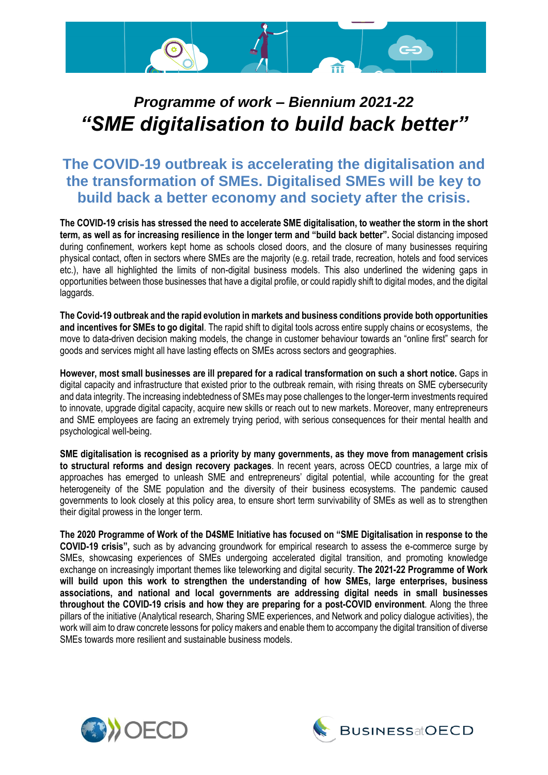

# *Programme of work – Biennium 2021-22 "SME digitalisation to build back better"*

### **The COVID-19 outbreak is accelerating the digitalisation and the transformation of SMEs. Digitalised SMEs will be key to build back a better economy and society after the crisis.**

**The COVID-19 crisis has stressed the need to accelerate SME digitalisation, to weather the storm in the short term, as well as for increasing resilience in the longer term and "build back better".** Social distancing imposed during confinement, workers kept home as schools closed doors, and the closure of many businesses requiring physical contact, often in sectors where SMEs are the majority (e.g. retail trade, recreation, hotels and food services etc.), have all highlighted the limits of non-digital business models. This also underlined the widening gaps in opportunities between those businesses that have a digital profile, or could rapidly shift to digital modes, and the digital laggards.

**The Covid-19 outbreak and the rapid evolution in markets and business conditions provide both opportunities and incentives for SMEs to go digital**. The rapid shift to digital tools across entire supply chains or ecosystems, the move to data-driven decision making models, the change in customer behaviour towards an "online first" search for goods and services might all have lasting effects on SMEs across sectors and geographies.

**However, most small businesses are ill prepared for a radical transformation on such a short notice.** Gaps in digital capacity and infrastructure that existed prior to the outbreak remain, with rising threats on SME cybersecurity and data integrity. The increasing indebtedness of SMEs may pose challenges to the longer-term investments required to innovate, upgrade digital capacity, acquire new skills or reach out to new markets. Moreover, many entrepreneurs and SME employees are facing an extremely trying period, with serious consequences for their mental health and psychological well-being.

**SME digitalisation is recognised as a priority by many governments, as they move from management crisis to structural reforms and design recovery packages**. In recent years, across OECD countries, a large mix of approaches has emerged to unleash SME and entrepreneurs' digital potential, while accounting for the great heterogeneity of the SME population and the diversity of their business ecosystems. The pandemic caused governments to look closely at this policy area, to ensure short term survivability of SMEs as well as to strengthen their digital prowess in the longer term.

**The 2020 Programme of Work of the D4SME Initiative has focused on "SME Digitalisation in response to the COVID-19 crisis",** such as by advancing groundwork for empirical research to assess the e-commerce surge by SMEs, showcasing experiences of SMEs undergoing accelerated digital transition, and promoting knowledge exchange on increasingly important themes like teleworking and digital security. **The 2021-22 Programme of Work will build upon this work to strengthen the understanding of how SMEs, large enterprises, business associations, and national and local governments are addressing digital needs in small businesses throughout the COVID-19 crisis and how they are preparing for a post-COVID environment**. Along the three pillars of the initiative (Analytical research, Sharing SME experiences, and Network and policy dialogue activities), the work will aim to draw concrete lessons for policy makers and enable them to accompany the digital transition of diverse SMEs towards more resilient and sustainable business models.



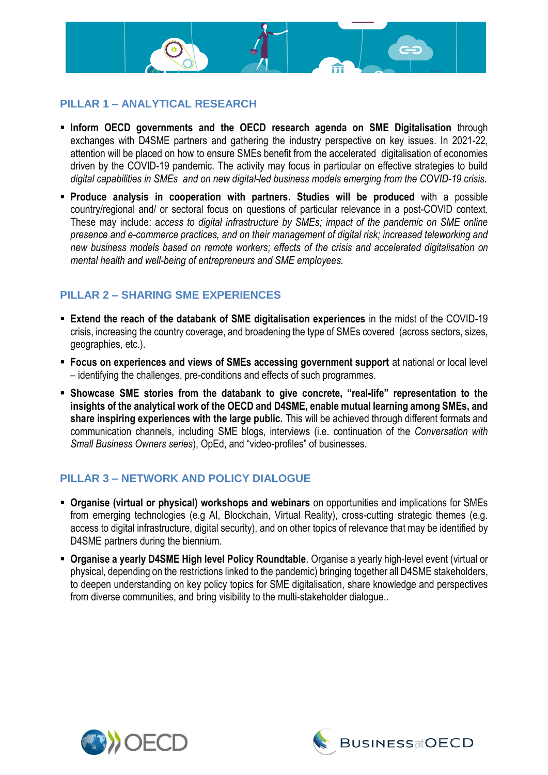

#### **PILLAR 1 – ANALYTICAL RESEARCH**

- **Inform OECD governments and the OECD research agenda on SME Digitalisation** through exchanges with D4SME partners and gathering the industry perspective on key issues. In 2021-22, attention will be placed on how to ensure SMEs benefit from the accelerated digitalisation of economies driven by the COVID-19 pandemic. The activity may focus in particular on effective strategies to build *digital capabilities in SMEs and on new digital-led business models emerging from the COVID-19 crisis.*
- **Produce analysis in cooperation with partners. Studies will be produced** with a possible country/regional and/ or sectoral focus on questions of particular relevance in a post-COVID context. These may include: a*ccess to digital infrastructure by SMEs; impact of the pandemic on SME online presence and e-commerce practices, and on their management of digital risk; increased teleworking and new business models based on remote workers; effects of the crisis and accelerated digitalisation on mental health and well-being of entrepreneurs and SME employees.*

#### **PILLAR 2 – SHARING SME EXPERIENCES**

- **Extend the reach of the databank of SME digitalisation experiences** in the midst of the COVID-19 crisis, increasing the country coverage, and broadening the type of SMEs covered (across sectors, sizes, geographies, etc.).
- **Focus on experiences and views of SMEs accessing government support** at national or local level – identifying the challenges, pre-conditions and effects of such programmes.
- **Showcase SME stories from the databank to give concrete, "real-life" representation to the insights of the analytical work of the OECD and D4SME, enable mutual learning among SMEs, and share inspiring experiences with the large public.** This will be achieved through different formats and communication channels, including SME blogs, interviews (i.e. continuation of the *Conversation with Small Business Owners series*), OpEd, and "video-profiles" of businesses.

#### **PILLAR 3 – NETWORK AND POLICY DIALOGUE**

- **Organise (virtual or physical) workshops and webinars** on opportunities and implications for SMEs from emerging technologies (e.g AI, Blockchain, Virtual Reality), cross-cutting strategic themes (e.g. access to digital infrastructure, digital security), and on other topics of relevance that may be identified by D4SME partners during the biennium.
- **Organise a yearly D4SME High level Policy Roundtable**. Organise a yearly high-level event (virtual or physical, depending on the restrictions linked to the pandemic) bringing together all D4SME stakeholders, to deepen understanding on key policy topics for SME digitalisation, share knowledge and perspectives from diverse communities, and bring visibility to the multi-stakeholder dialogue..



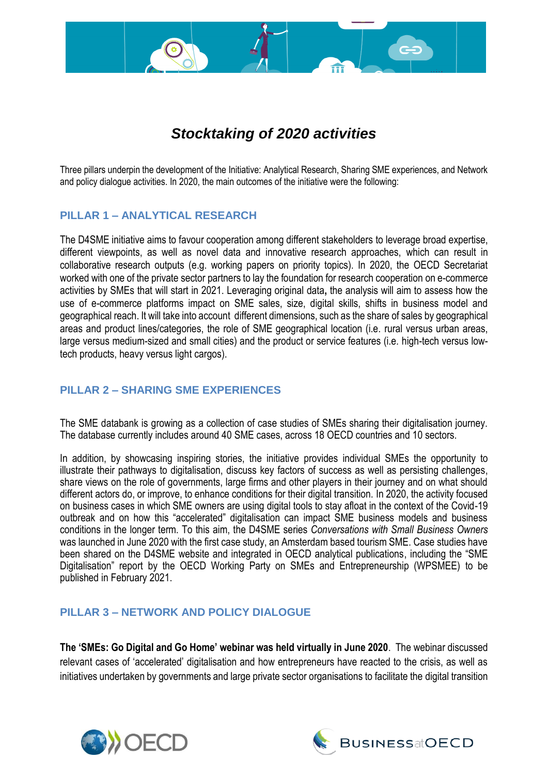## *Stocktaking of 2020 activities*

Three pillars underpin the development of the Initiative: Analytical Research, Sharing SME experiences, and Network and policy dialogue activities. In 2020, the main outcomes of the initiative were the following:

#### **PILLAR 1 – ANALYTICAL RESEARCH**

**3**

The D4SME initiative aims to favour cooperation among different stakeholders to leverage broad expertise, different viewpoints, as well as novel data and innovative research approaches, which can result in collaborative research outputs (e.g. working papers on priority topics). In 2020, the OECD Secretariat worked with one of the private sector partners to lay the foundation for research cooperation on e-commerce activities by SMEs that will start in 2021. Leveraging original data**,** the analysis will aim to assess how the use of e-commerce platforms impact on SME sales, size, digital skills, shifts in business model and geographical reach. It will take into account different dimensions, such as the share of sales by geographical areas and product lines/categories, the role of SME geographical location (i.e. rural versus urban areas, large versus medium-sized and small cities) and the product or service features (i.e. high-tech versus lowtech products, heavy versus light cargos).

#### **PILLAR 2 – SHARING SME EXPERIENCES**

The SME databank is growing as a collection of case studies of SMEs sharing their digitalisation journey. The database currently includes around 40 SME cases, across 18 OECD countries and 10 sectors.

In addition, by showcasing inspiring stories, the initiative provides individual SMEs the opportunity to illustrate their pathways to digitalisation, discuss key factors of success as well as persisting challenges, share views on the role of governments, large firms and other players in their journey and on what should different actors do, or improve, to enhance conditions for their digital transition. In 2020, the activity focused on business cases in which SME owners are using digital tools to stay afloat in the context of the Covid-19 outbreak and on how this "accelerated" digitalisation can impact SME business models and business conditions in the longer term. To this aim, the D4SME series *Conversations with Small Business Owners* was launched in June 2020 with the first case study, an Amsterdam based tourism SME. Case studies have been shared on the D4SME website and integrated in OECD analytical publications, including the "SME Digitalisation" report by the OECD Working Party on SMEs and Entrepreneurship (WPSMEE) to be published in February 2021.

#### **PILLAR 3 – NETWORK AND POLICY DIALOGUE**

**The 'SMEs: Go Digital and Go Home' webinar was held virtually in June 2020**. The webinar discussed relevant cases of 'accelerated' digitalisation and how entrepreneurs have reacted to the crisis, as well as initiatives undertaken by governments and large private sector organisations to facilitate the digital transition